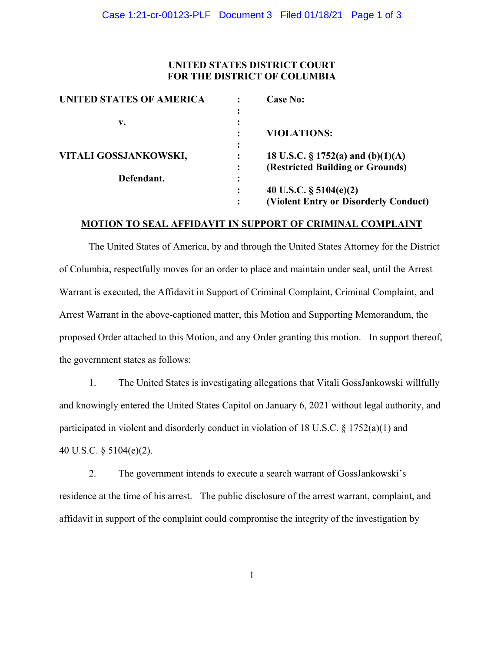### **UNITED STATES DISTRICT COURT FOR THE DISTRICT OF COLUMBIA**

| UNITED STATES OF AMERICA |                | <b>Case No:</b>                       |
|--------------------------|----------------|---------------------------------------|
|                          |                |                                       |
| v.                       | ٠              |                                       |
|                          |                | <b>VIOLATIONS:</b>                    |
|                          |                |                                       |
| VITALI GOSSJANKOWSKI,    |                | 18 U.S.C. § 1752(a) and (b)(1)(A)     |
|                          |                | (Restricted Building or Grounds)      |
| Defendant.               | $\bullet$<br>٠ |                                       |
|                          |                | 40 U.S.C. $\S$ 5104(e)(2)             |
|                          |                | (Violent Entry or Disorderly Conduct) |

#### **MOTION TO SEAL AFFIDAVIT IN SUPPORT OF CRIMINAL COMPLAINT**

The United States of America, by and through the United States Attorney for the District of Columbia, respectfully moves for an order to place and maintain under seal, until the Arrest Warrant is executed, the Affidavit in Support of Criminal Complaint, Criminal Complaint, and Arrest Warrant in the above-captioned matter, this Motion and Supporting Memorandum, the proposed Order attached to this Motion, and any Order granting this motion. In support thereof, the government states as follows:

1. The United States is investigating allegations that Vitali GossJankowski willfully and knowingly entered the United States Capitol on January 6, 2021 without legal authority, and participated in violent and disorderly conduct in violation of 18 U.S.C. § 1752(a)(1) and 40 U.S.C. § 5104(e)(2).

2. The government intends to execute a search warrant of GossJankowski's residence at the time of his arrest. The public disclosure of the arrest warrant, complaint, and affidavit in support of the complaint could compromise the integrity of the investigation by

1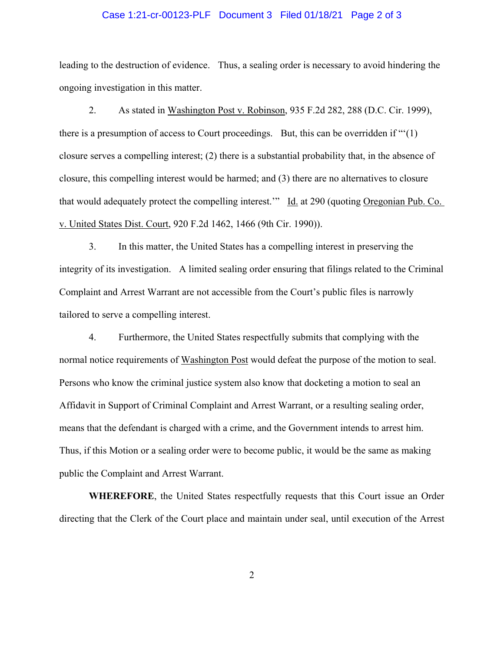#### Case 1:21-cr-00123-PLF Document 3 Filed 01/18/21 Page 2 of 3

leading to the destruction of evidence. Thus, a sealing order is necessary to avoid hindering the ongoing investigation in this matter.

 2. As stated in Washington Post v. Robinson, 935 F.2d 282, 288 (D.C. Cir. 1999), there is a presumption of access to Court proceedings. But, this can be overridden if "'(1) closure serves a compelling interest; (2) there is a substantial probability that, in the absence of closure, this compelling interest would be harmed; and (3) there are no alternatives to closure that would adequately protect the compelling interest.'" Id. at 290 (quoting Oregonian Pub. Co. v. United States Dist. Court, 920 F.2d 1462, 1466 (9th Cir. 1990)).

 3. In this matter, the United States has a compelling interest in preserving the integrity of its investigation. A limited sealing order ensuring that filings related to the Criminal Complaint and Arrest Warrant are not accessible from the Court's public files is narrowly tailored to serve a compelling interest.

 4. Furthermore, the United States respectfully submits that complying with the normal notice requirements of Washington Post would defeat the purpose of the motion to seal. Persons who know the criminal justice system also know that docketing a motion to seal an Affidavit in Support of Criminal Complaint and Arrest Warrant, or a resulting sealing order, means that the defendant is charged with a crime, and the Government intends to arrest him. Thus, if this Motion or a sealing order were to become public, it would be the same as making public the Complaint and Arrest Warrant.

**WHEREFORE**, the United States respectfully requests that this Court issue an Order directing that the Clerk of the Court place and maintain under seal, until execution of the Arrest

2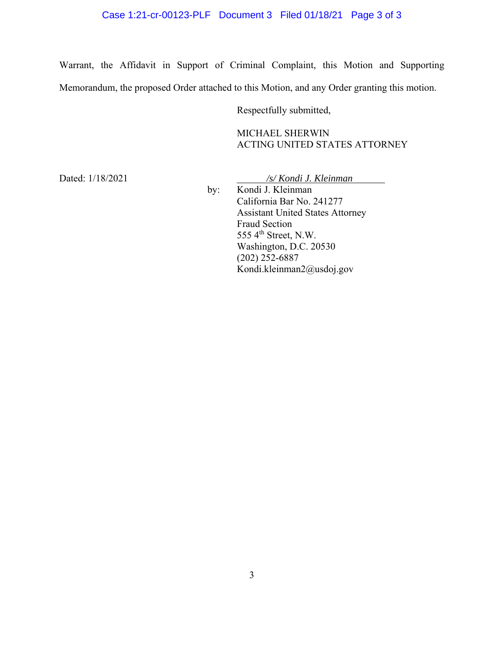## Case 1:21-cr-00123-PLF Document 3 Filed 01/18/21 Page 3 of 3

Warrant, the Affidavit in Support of Criminal Complaint, this Motion and Supporting Memorandum, the proposed Order attached to this Motion, and any Order granting this motion.

Respectfully submitted,

MICHAEL SHERWIN ACTING UNITED STATES ATTORNEY

Dated: 1/18/2021 */s/ Kondi J. Kleinman* 

 by: Kondi J. Kleinman California Bar No. 241277 Assistant United States Attorney Fraud Section 555  $4<sup>th</sup>$  Street, N.W. Washington, D.C. 20530 (202) 252-6887 Kondi.kleinman2@usdoj.gov